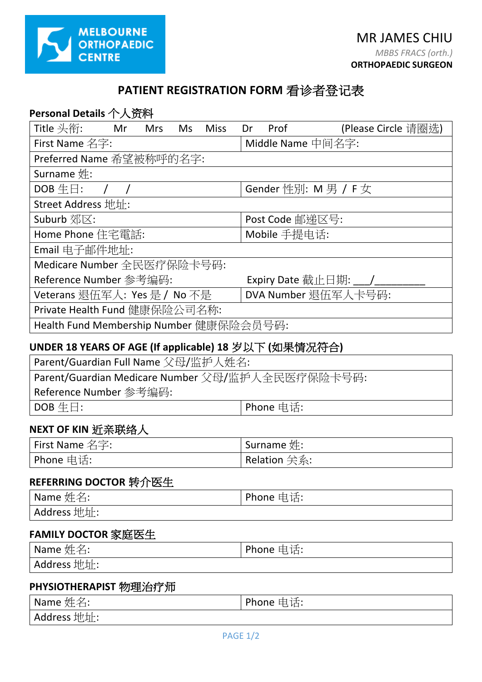

# **PATIENT REGISTRATION FORM** 看诊者登记表

| Personal Details 个人资料                                 |                    |            |     |             |    |                     |                             |  |
|-------------------------------------------------------|--------------------|------------|-----|-------------|----|---------------------|-----------------------------|--|
| Title 头衔:                                             | <b>Solution</b> Mr | <b>Mrs</b> | Ms. | <b>Miss</b> | Dr | Prof                | (Please Circle 请圈选)         |  |
| First Name 名字:                                        |                    |            |     |             |    |                     | Middle Name 中间名字:           |  |
| Preferred Name 希望被称呼的名字:                              |                    |            |     |             |    |                     |                             |  |
| Surname 姓:                                            |                    |            |     |             |    |                     |                             |  |
| $DOB \ntriangleq \Box$ :                              |                    |            |     |             |    |                     | Gender 性別: $M \ncong / F$ 女 |  |
| Street Address 地址:                                    |                    |            |     |             |    |                     |                             |  |
| Suburb 郊区:                                            |                    |            |     |             |    | Post Code 邮递区号:     |                             |  |
| Home Phone 住宅電話:                                      |                    |            |     |             |    | Mobile 手提电话:        |                             |  |
| Email 电子邮件地址:                                         |                    |            |     |             |    |                     |                             |  |
| Medicare Number 全民医疗保险卡号码:                            |                    |            |     |             |    |                     |                             |  |
| Reference Number 参考编码:                                |                    |            |     |             |    |                     | Expiry Date 截止日期: ___/___   |  |
| Veterans 退伍军人: Yes 是 / No 不是                          |                    |            |     |             |    | DVA Number 退伍军人卡号码: |                             |  |
| Private Health Fund 健康保险公司名称:                         |                    |            |     |             |    |                     |                             |  |
| Health Fund Membership Number 健康保险会员号码:               |                    |            |     |             |    |                     |                             |  |
| UNDER 18 YEARS OF AGE (If applicable) 18 岁以下 (如果情况符合) |                    |            |     |             |    |                     |                             |  |
|                                                       |                    |            |     |             |    |                     |                             |  |

| Parent/Guardian Full Name 父母/监护人姓名:              |             |  |  |  |
|--------------------------------------------------|-------------|--|--|--|
| Parent/Guardian Medicare Number 父母/监护人全民医疗保险卡号码: |             |  |  |  |
| ' Reference Number 参考编码:                         |             |  |  |  |
| $\vert$ DOB $\pm \boxdot$ :                      | I Phone 电话: |  |  |  |

### **NEXT OF KIN** 近亲联络人

| First Name 名字: | Surname $\#$ : |
|----------------|----------------|
| ' Phone 电话: l  | Relation 关系:   |

## **REFERRING DOCTOR** 转介医生

| $^{\mathsf{I}}$ Name 姓名: | ' Phone 电话: |
|--------------------------|-------------|
| Address 地址:              |             |

### **FAMILY DOCTOR** 家庭医生

| $\mathsf{I}$ Name 姓名: | Phone 电话: |
|-----------------------|-----------|
| Address 地址:           |           |

#### **PHYSIOTHERAPIST** 物理治疗师

| Name 姓名:    | Phone 电话: |
|-------------|-----------|
| Address 地址: |           |